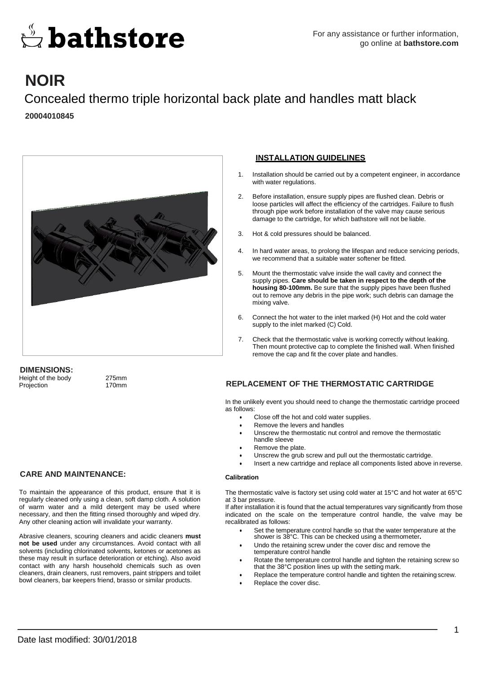

## **NOIR**

Concealed thermo triple horizontal back plate and handles matt black **20004010845**



### **DIMENSIONS:**

Height of the body 275mm Projection 170mm

#### **CARE AND MAINTENANCE:**

To maintain the appearance of this product, ensure that it is regularly cleaned only using a clean, soft damp cloth. A solution of warm water and a mild detergent may be used where necessary, and then the fitting rinsed thoroughly and wiped dry. Any other cleaning action will invalidate your warranty.

Abrasive cleaners, scouring cleaners and acidic cleaners **must not be used** under any circumstances. Avoid contact with all solvents (including chlorinated solvents, ketones or acetones as these may result in surface deterioration or etching). Also avoid contact with any harsh household chemicals such as oven cleaners, drain cleaners, rust removers, paint strippers and toilet bowl cleaners, bar keepers friend, brasso or similar products.

#### **INSTALLATION GUIDELINES**

- 1. Installation should be carried out by a competent engineer, in accordance with water regulations.
- 2. Before installation, ensure supply pipes are flushed clean. Debris or loose particles will affect the efficiency of the cartridges. Failure to flush through pipe work before installation of the valve may cause serious damage to the cartridge, for which bathstore will not be liable.
- Hot & cold pressures should be balanced.
- 4. In hard water areas, to prolong the lifespan and reduce servicing periods, we recommend that a suitable water softener be fitted.
- 5. Mount the thermostatic valve inside the wall cavity and connect the supply pipes. **Care should be taken in respect to the depth of the housing 80-100mm.** Be sure that the supply pipes have been flushed out to remove any debris in the pipe work; such debris can damage the mixing valve.
- 6. Connect the hot water to the inlet marked (H) Hot and the cold water supply to the inlet marked (C) Cold.
- 7. Check that the thermostatic valve is working correctly without leaking. Then mount protective cap to complete the finished wall. When finished remove the cap and fit the cover plate and handles.

#### **REPLACEMENT OF THE THERMOSTATIC CARTRIDGE**

In the unlikely event you should need to change the thermostatic cartridge proceed as follows:

- Close off the hot and cold water supplies.
- Remove the levers and handles
- Unscrew the thermostatic nut control and remove the thermostatic handle sleeve
- Remove the plate.
- Unscrew the grub screw and pull out the thermostatic cartridge.
- Insert a new cartridge and replace all components listed above in reverse.

#### **Calibration**

The thermostatic valve is factory set using cold water at 15°C and hot water at 65°C at 3 bar pressure.

If after installation it is found that the actual temperatures vary significantly from those indicated on the scale on the temperature control handle, the valve may be recalibrated as follows:

- Set the temperature control handle so that the water temperature at the shower is 38°C. This can be checked using a thermometer**.**
- Undo the retaining screw under the cover disc and remove the temperature control handle
- Rotate the temperature control handle and tighten the retaining screw so that the 38°C position lines up with the setting mark.
- Replace the temperature control handle and tighten the retaining screw.
- Replace the cover disc.